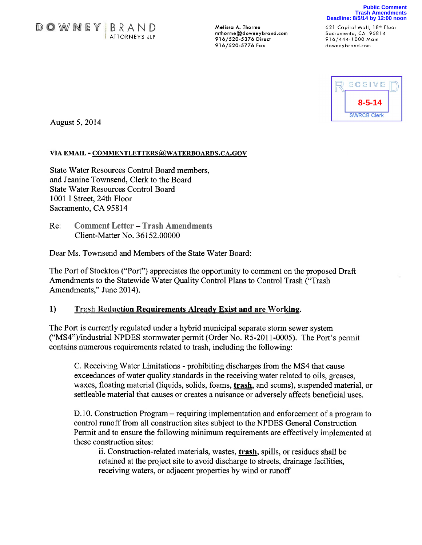

~ ATTORNEYS LLP 916/520-5376 Direct 9 1 6444-1 000 Main 916/520-5776 Fax

**Public Comment Trash Amendments Deadline: 8/5/14 by 12:00 noon**

Sacramento, CA 95814<br>916/444-1000 Main



August 5, 2014

#### VIA EMAIL - COMMENTLETTERS@WATERBOARDS.CA.GOV

State Water Resources Control Board members, and Jeanine Townsend, Clerk to the Board State Water Resources Control Board 1001 I Street, 24th Floor Sacramento, CA 95814

Re: Comment Letter —Trash Amendments Client-Matter No. 36152.00000

Dear Ms. Townsend and Members of the State Water Board:

The Port of Stockton ("Port") appreciates the opportunity to comment on the proposed Draft Amendments to the Statewide Water Quality Control Plans to Control Trash ("Trash Amendments," June 2014).

#### 1) Trash Reduction Requirements Already Exist and are Working.

The Port is currently regulated under a hybrid municipal separate storm sewer system ("MS4")/industrial NPDES stormwater permit (Order No. RS-2011-0005). The Port's permit contains numerous requirements related to trash, including the following:

C. Receiving Water Limitations - prohibiting discharges from the MS4 that cause exceedances of water quality standards in the receiving water related to oils, greases, waxes, floating material (liquids, solids, foams, **trash**, and scums), suspended material, or settleable material that causes or creates a nuisance or adversely affects beneficial uses.

D.10. Construction Program —requiring implementation and enforcement of a program to control runoff from all construction sites subject to the NPDES General Construction Permit and to ensure the following minimum requirements are effectively implemented at these construction sites:

ii. Construction-related materials, wastes, trash, spills, or residues shall be retained at the project site to avoid discharge to streets, drainage facilities, receiving waters, or adjacent properties by wind or runoff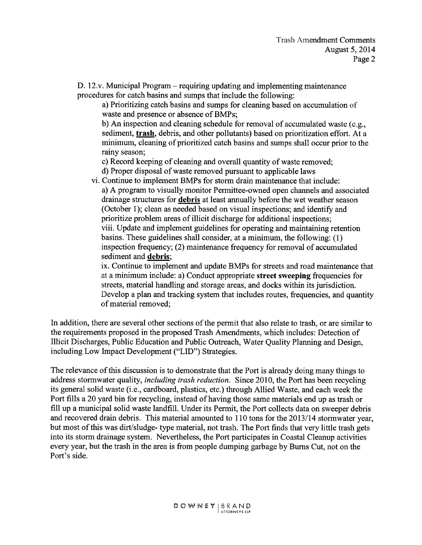D. 12.v. Municipal Program – requiring updating and implementing maintenance procedures for catch basins and sumps that include the following:

a) Prioritizing catch basins and sumps for cleaning based on accumulation of waste and presence or absence of BMPs;

b) An inspection and cleaning schedule for removal of accumulated waste (e.g., sediment, trash, debris, and other pollutants) based on prioritization effort. At a minimum, cleaning of prioritized catch basins and sumps shall occur prior to the rainy season;

c) Record keeping of cleaning and overall quantity of waste removed;

- d) Proper disposal of waste removed pursuant to applicable laws
- vi. Continue to implement BMPs for storm drain maintenance that include: a) A program to visually monitor Permittee-owned open channels and associated drainage structures for debris at least annually before the wet weather season (October 1); clean as needed based on visual inspections; and identify and prioritize problem areas of illicit discharge for additional inspections; viii. Update and implement guidelines for operating and maintaining retention basins. These guidelines shall consider, at a minimum, the following: (1) inspection frequency; (2) maintenance frequency for removal of accumulated sediment and debris;

ix. Continue to implement and update BMPs for streets and road maintenance that at a minimum include: a) Conduct appropriate street sweeping frequencies for streets, material handling and storage areas, and docks within its jurisdiction. Develop a plan and tracking system that includes routes, frequencies, and quantity of material removed;

In addition, there are several other sections of the permit that also relate to trash, or are similar to the requirements proposed in the proposed Trash Amendments, which includes: Detection of Illicit Discharges, Public Education and Public Outreach, Water Quality Planning and Design, including Low Impact Development ("LID") Strategies.

The relevance of this discussion is to demonstrate that the Port is already doing many things to address stormwater quality, *including trash reduction*. Since 2010, the Port has been recycling its general solid waste (i.e., cardboard, plastics, etc.) through Allied Waste, and each week the Port fills a 20 yard bin for recycling, instead of having those same materials end up as trash or fill up a municipal solid waste landfill. Under its Permit, the Port collects data on sweeper debris and recovered drain debris. This material amounted to 110 tons for the 2013/14 stormwater year, but most of this was dirt/sludge- type material, not trash. The Port finds that very little trash gets into its storm drainage system. Nevertheless, the Port participates in Coastal Cleanup activities every year, but the trash in the area is from people dumping garbage by Burns Cut, not on the Port's side.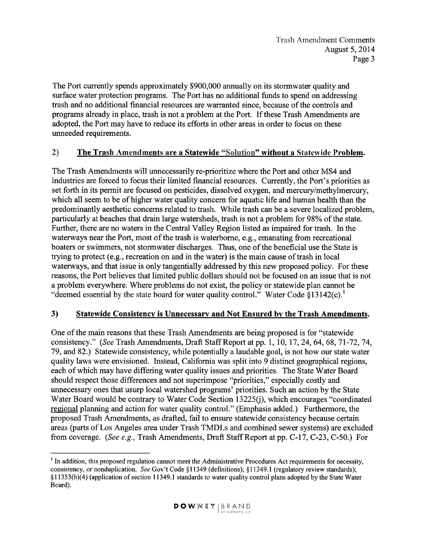The Port currently spends approximately \$900,000 annually on its stormwater quality and surface water protection programs. The Port has no additional funds to spend on addressing trash and no additional financial resources are warranted since, because of the controls and programs already in place, trash is not a problem at the Port. If these Trash Amendments are adopted, the Port may have to reduce its efforts in other areas in order to focus on these unneeded requirements.

## 2) The Trash Amendments are a Statewide "Solution" without a Statewide Problem.

The Trash Amendments will unnecessarily re-prioritize where the Port and other MS4 and industries are forced to focus their limited financial resources. Currently, the Port's priorities as set forth in its permit are focused on pesticides, dissolved oxygen, and mercury/methylmercury, which all seem to be of higher water quality concern for aquatic life and human health than the predominantly aesthetic concerns related to trash. While trash can be a severe localized problem, particularly at beaches that drain large watersheds, trash is not a problem for 98% of the state. Further, there are no waters in the Central Valley Region listed as impaired for trash. In the waterways near the Port, most of the trash is waterborne, e.g., emanating from recreational boaters or swimmers, not stormwater discharges. Thus, one of the beneficial use the State is trying to protect (e.g., recreation on and in the water) is the main cause of trash in local waterways, and that issue is only tangentially addressed by this new proposed policy. For these reasons, the Port believes that limited public dollars should not be focused on an issue that is not a problem everywhere. Where problems do not exist, the policy or statewide plan cannot be "deemed essential by the state board for water quality control." Water Code  $\S 13142(c)$ .

#### 3) Statewide Consistency is Unnecessary and Not Ensured by the Trash Amendments.

One of the main reasons that these Trash Amendments are being proposed is for "statewide consistency." (See Trash Amendments, Draft Staff Report at pp. 1, 10, 17, 24, 64, 68, 71-72, 74, 79, and 82.) Statewide consistency, while potentially a laudable goal, is not how our state water quality laws were envisioned. Instead, California was split into 9 distinct geographical regions, each of which may have differing water quality issues and priorities. The State Water Board should respect those differences and not superimpose "priorities," especially costly and unnecessary ones that usurp local watershed programs' priorities. Such an action by the State Water Board would be contrary to Water Code Section 13225(j), which encourages "coordinated regional planning and action for water quality control." (Emphasis added.) Furthermore, the proposed Trash Amendments, as drafted, fail to ensure statewide consistency because certain areas (parts of Los Angeles area under Trash TMDLs and combined sewer systems) are excluded from coverage. (See e.g., Trash Amendments, Draft Staff Report at pp. C-17, C-23, C-50.) For

 $<sup>1</sup>$  In addition, this proposed regulation cannot meet the Administrative Procedures Act requirements for necessity,</sup> consistency, or nonduplication. See Gov't Code §11349 (definitions); §11349.1 (regulatory review standards); § 11353(b)(4) (application of section 11349.1 standards to water quality control plans adopted by the State Water Board).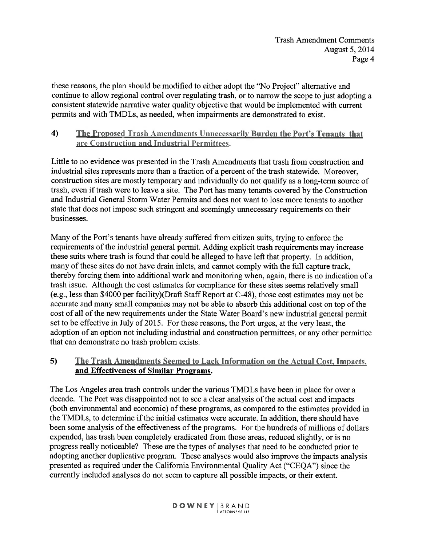these reasons, the plan should be modified to either adopt the "No Project" alternative and continue to allow regional control over regulating trash, or to narrow the scope to just adopting a consistent statewide narrative water quality objective that would be implemented with current permits and with TMDLs, as needed, when impairments are demonstrated to exist.

### 4) The Proposed Trash Amendments Unnecessarily Burden the Port's Tenants that are Construction and Industrial Permittees.

Little to no evidence was presented in the Trash Amendments that trash from construction and industrial sites represents more than a fraction of a percent of the trash statewide. Moreover, construction sites are mostly temporary and individually do not qualify as a long-term source of trash, even if trash were to leave a site. The Port has many tenants covered by the Construction and Industrial General Storm Water Permits and does not want to lose more tenants to another state that does not impose such stringent and seemingly unnecessary requirements on their businesses.

Many of the Port's tenants have already suffered from citizen suits, trying to enforce the requirements of the industrial general permit. Adding explicit trash requirements may increase these suits where trash is found that could be alleged to have left that property. In addition, many of these sites do not have drain inlets, and cannot comply with the full capture track, thereby forcing them into additional work and monitoring when, again, there is no indication of a trash issue. Although the cost estimates for compliance for these sites seems relatively small (e.g., less than \$4000 per facility)(Draft Staff Report at C-48), those cost estimates may not be accurate and many small companies may not be able to absorb this additional cost on top of the cost of all of the new requirements under the State Water Board's new industrial general permit set to be effective in July of 2015. For these reasons, the Port urges, at the very least, the adoption of an option not including industrial and construction permittees, or any other permittee that can demonstrate no trash problem exists.

# 5) The Trash Amendments Seemed to Lack Information on the Actual Cost, Impacts, and Effectiveness of Similar Programs.

The Los Angeles area trash controls under the various TMDLs have been in place for over a decade. The Port was disappointed not to see a clear analysis of the actual cost and impacts (both environmental and economic) of these programs, as compared to the estimates provided in the TMDLs, to determine if the initial estimates were accurate. In addition, there should have been some analysis of the effectiveness of the programs. For the hundreds of millions of dollars expended, has trash been completely eradicated from those areas, reduced slightly, or is no progress really noticeable? These are the types of analyses that need to be conducted prior to adopting another duplicative program. These analyses would also improve the impacts analysis presented as required under the California Environmental Quality Act ("CEQA") since the currently included analyses do not seem to capture all possible impacts, or their extent.